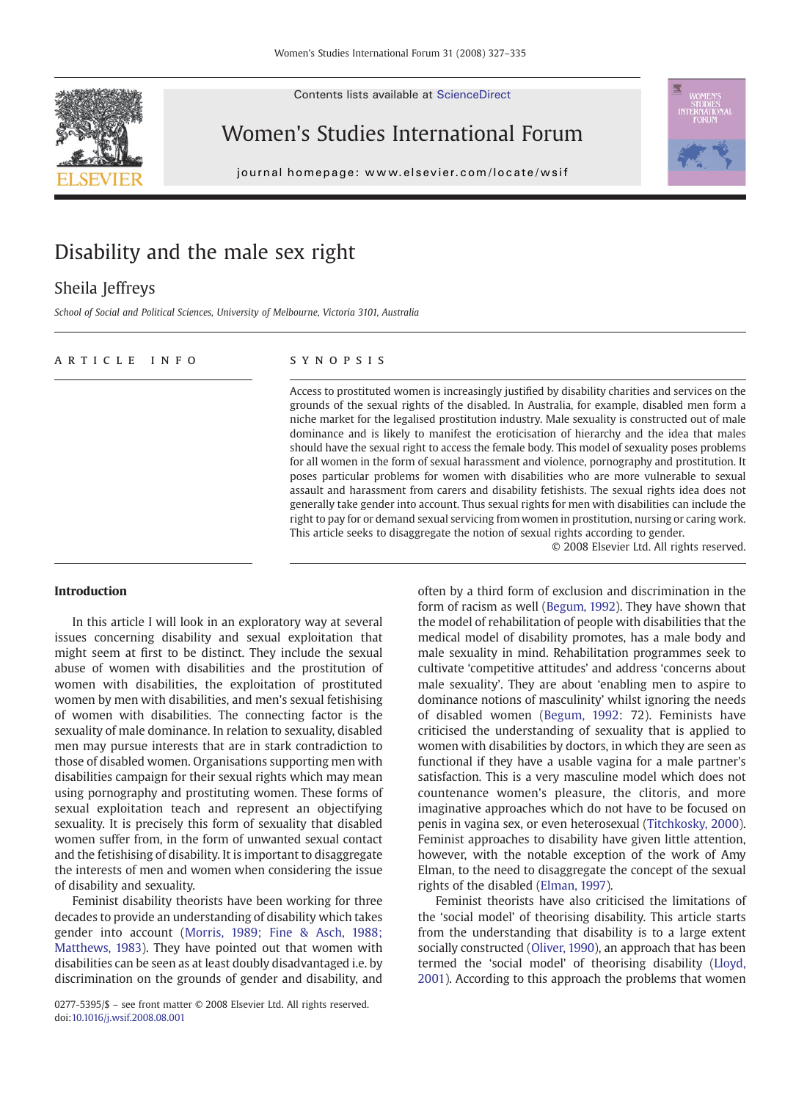Contents lists available at ScienceDirect







j o u r n a l h om e p a g e  $\alpha$  ev i e r. c om  $\alpha$  i e  $\alpha$  t e  $\alpha$  i f  $\alpha$  i f  $\alpha$ 

# Disability and the male sex right

## Sheila Jeffreys

School of Social and Political Sciences, University of Melbourne, Victoria 3101, Australia

### article info synopsis

Access to prostituted women is increasingly justified by disability charities and services on the grounds of the sexual rights of the disabled. In Australia, for example, disabled men form a niche market for the legalised prostitution industry. Male sexuality is constructed out of male dominance and is likely to manifest the eroticisation of hierarchy and the idea that males should have the sexual right to access the female body. This model of sexuality poses problems for all women in the form of sexual harassment and violence, pornography and prostitution. It poses particular problems for women with disabilities who are more vulnerable to sexual assault and harassment from carers and disability fetishists. The sexual rights idea does not generally take gender into account. Thus sexual rights for men with disabilities can include the right to pay for or demand sexual servicing from women in prostitution, nursing or caring work. This article seeks to disaggregate the notion of sexual rights according to gender.

© 2008 Elsevier Ltd. All rights reserved.

#### Introduction

In this article I will look in an exploratory way at several issues concerning disability and sexual exploitation that might seem at first to be distinct. They include the sexual abuse of women with disabilities and the prostitution of women with disabilities, the exploitation of prostituted women by men with disabilities, and men's sexual fetishising of women with disabilities. The connecting factor is the sexuality of male dominance. In relation to sexuality, disabled men may pursue interests that are in stark contradiction to those of disabled women. Organisations supporting men with disabilities campaign for their sexual rights which may mean using pornography and prostituting women. These forms of sexual exploitation teach and represent an objectifying sexuality. It is precisely this form of sexuality that disabled women suffer from, in the form of unwanted sexual contact and the fetishising of disability. It is important to disaggregate the interests of men and women when considering the issue of disability and sexuality.

Feminist disability theorists have been working for three decades to provide an understanding of disability which takes gender into account ([Morris, 1989; Fine & Asch, 1988;](#page-8-0) [Matthews, 1983\)](#page-8-0). They have pointed out that women with disabilities can be seen as at least doubly disadvantaged i.e. by discrimination on the grounds of gender and disability, and

0277-5395/\$ – see front matter © 2008 Elsevier Ltd. All rights reserved. doi[:10.1016/j.wsif.2008.08.001](http://dx.doi.org/10.1016/j.wsif.2008.08.001)

often by a third form of exclusion and discrimination in the form of racism as well ([Begum, 1992](#page-7-0)). They have shown that the model of rehabilitation of people with disabilities that the medical model of disability promotes, has a male body and male sexuality in mind. Rehabilitation programmes seek to cultivate 'competitive attitudes' and address 'concerns about male sexuality'. They are about 'enabling men to aspire to dominance notions of masculinity' whilst ignoring the needs of disabled women ([Begum, 1992](#page-7-0): 72). Feminists have criticised the understanding of sexuality that is applied to women with disabilities by doctors, in which they are seen as functional if they have a usable vagina for a male partner's satisfaction. This is a very masculine model which does not countenance women's pleasure, the clitoris, and more imaginative approaches which do not have to be focused on penis in vagina sex, or even heterosexual ([Titchkosky, 2000](#page-8-0)). Feminist approaches to disability have given little attention, however, with the notable exception of the work of Amy Elman, to the need to disaggregate the concept of the sexual rights of the disabled ([Elman, 1997\)](#page-7-0).

Feminist theorists have also criticised the limitations of the 'social model' of theorising disability. This article starts from the understanding that disability is to a large extent socially constructed [\(Oliver, 1990\)](#page-8-0), an approach that has been termed the 'social model' of theorising disability ([Lloyd,](#page-8-0) [2001](#page-8-0)). According to this approach the problems that women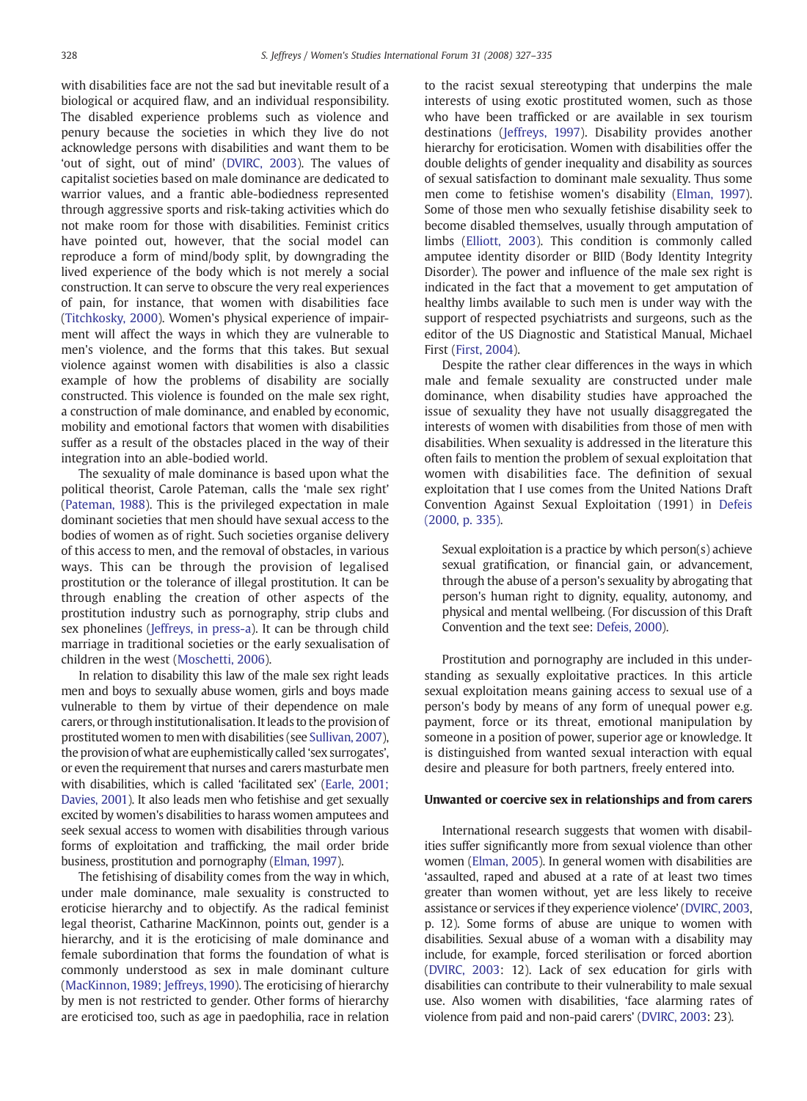with disabilities face are not the sad but inevitable result of a biological or acquired flaw, and an individual responsibility. The disabled experience problems such as violence and penury because the societies in which they live do not acknowledge persons with disabilities and want them to be 'out of sight, out of mind' ([DVIRC, 2003](#page-7-0)). The values of capitalist societies based on male dominance are dedicated to warrior values, and a frantic able-bodiedness represented through aggressive sports and risk-taking activities which do not make room for those with disabilities. Feminist critics have pointed out, however, that the social model can reproduce a form of mind/body split, by downgrading the lived experience of the body which is not merely a social construction. It can serve to obscure the very real experiences of pain, for instance, that women with disabilities face [\(Titchkosky, 2000](#page-8-0)). Women's physical experience of impairment will affect the ways in which they are vulnerable to men's violence, and the forms that this takes. But sexual violence against women with disabilities is also a classic example of how the problems of disability are socially constructed. This violence is founded on the male sex right, a construction of male dominance, and enabled by economic, mobility and emotional factors that women with disabilities suffer as a result of the obstacles placed in the way of their integration into an able-bodied world.

The sexuality of male dominance is based upon what the political theorist, Carole Pateman, calls the 'male sex right' [\(Pateman, 1988\)](#page-8-0). This is the privileged expectation in male dominant societies that men should have sexual access to the bodies of women as of right. Such societies organise delivery of this access to men, and the removal of obstacles, in various ways. This can be through the provision of legalised prostitution or the tolerance of illegal prostitution. It can be through enabling the creation of other aspects of the prostitution industry such as pornography, strip clubs and sex phonelines ([Jeffreys, in press-a](#page-8-0)). It can be through child marriage in traditional societies or the early sexualisation of children in the west ([Moschetti, 2006\)](#page-8-0).

In relation to disability this law of the male sex right leads men and boys to sexually abuse women, girls and boys made vulnerable to them by virtue of their dependence on male carers, or through institutionalisation. It leads to the provision of prostituted women to men with disabilities (see [Sullivan, 2007\)](#page-8-0), the provision of what are euphemistically called 'sex surrogates', or even the requirement that nurses and carers masturbate men with disabilities, which is called 'facilitated sex' [\(Earle, 2001;](#page-7-0) [Davies, 2001](#page-7-0)). It also leads men who fetishise and get sexually excited by women's disabilities to harass women amputees and seek sexual access to women with disabilities through various forms of exploitation and trafficking, the mail order bride business, prostitution and pornography ([Elman, 1997](#page-7-0)).

The fetishising of disability comes from the way in which, under male dominance, male sexuality is constructed to eroticise hierarchy and to objectify. As the radical feminist legal theorist, Catharine MacKinnon, points out, gender is a hierarchy, and it is the eroticising of male dominance and female subordination that forms the foundation of what is commonly understood as sex in male dominant culture [\(MacKinnon, 1989; Jeffreys, 1990](#page-8-0)). The eroticising of hierarchy by men is not restricted to gender. Other forms of hierarchy are eroticised too, such as age in paedophilia, race in relation to the racist sexual stereotyping that underpins the male interests of using exotic prostituted women, such as those who have been trafficked or are available in sex tourism destinations ([Jeffreys, 1997](#page-8-0)). Disability provides another hierarchy for eroticisation. Women with disabilities offer the double delights of gender inequality and disability as sources of sexual satisfaction to dominant male sexuality. Thus some men come to fetishise women's disability [\(Elman, 1997\)](#page-7-0). Some of those men who sexually fetishise disability seek to become disabled themselves, usually through amputation of limbs [\(Elliott, 2003\)](#page-7-0). This condition is commonly called amputee identity disorder or BIID (Body Identity Integrity Disorder). The power and influence of the male sex right is indicated in the fact that a movement to get amputation of healthy limbs available to such men is under way with the support of respected psychiatrists and surgeons, such as the editor of the US Diagnostic and Statistical Manual, Michael First ([First, 2004](#page-7-0)).

Despite the rather clear differences in the ways in which male and female sexuality are constructed under male dominance, when disability studies have approached the issue of sexuality they have not usually disaggregated the interests of women with disabilities from those of men with disabilities. When sexuality is addressed in the literature this often fails to mention the problem of sexual exploitation that women with disabilities face. The definition of sexual exploitation that I use comes from the United Nations Draft Convention Against Sexual Exploitation (1991) in [Defeis](#page-7-0) [\(2000, p. 335\)](#page-7-0).

Sexual exploitation is a practice by which person(s) achieve sexual gratification, or financial gain, or advancement, through the abuse of a person's sexuality by abrogating that person's human right to dignity, equality, autonomy, and physical and mental wellbeing. (For discussion of this Draft Convention and the text see: [Defeis, 2000](#page-7-0)).

Prostitution and pornography are included in this understanding as sexually exploitative practices. In this article sexual exploitation means gaining access to sexual use of a person's body by means of any form of unequal power e.g. payment, force or its threat, emotional manipulation by someone in a position of power, superior age or knowledge. It is distinguished from wanted sexual interaction with equal desire and pleasure for both partners, freely entered into.

#### Unwanted or coercive sex in relationships and from carers

International research suggests that women with disabilities suffer significantly more from sexual violence than other women [\(Elman, 2005](#page-7-0)). In general women with disabilities are 'assaulted, raped and abused at a rate of at least two times greater than women without, yet are less likely to receive assistance or services if they experience violence' [\(DVIRC, 2003,](#page-7-0) p. 12). Some forms of abuse are unique to women with disabilities. Sexual abuse of a woman with a disability may include, for example, forced sterilisation or forced abortion [\(DVIRC, 2003](#page-7-0): 12). Lack of sex education for girls with disabilities can contribute to their vulnerability to male sexual use. Also women with disabilities, 'face alarming rates of violence from paid and non-paid carers' ([DVIRC, 2003:](#page-7-0) 23).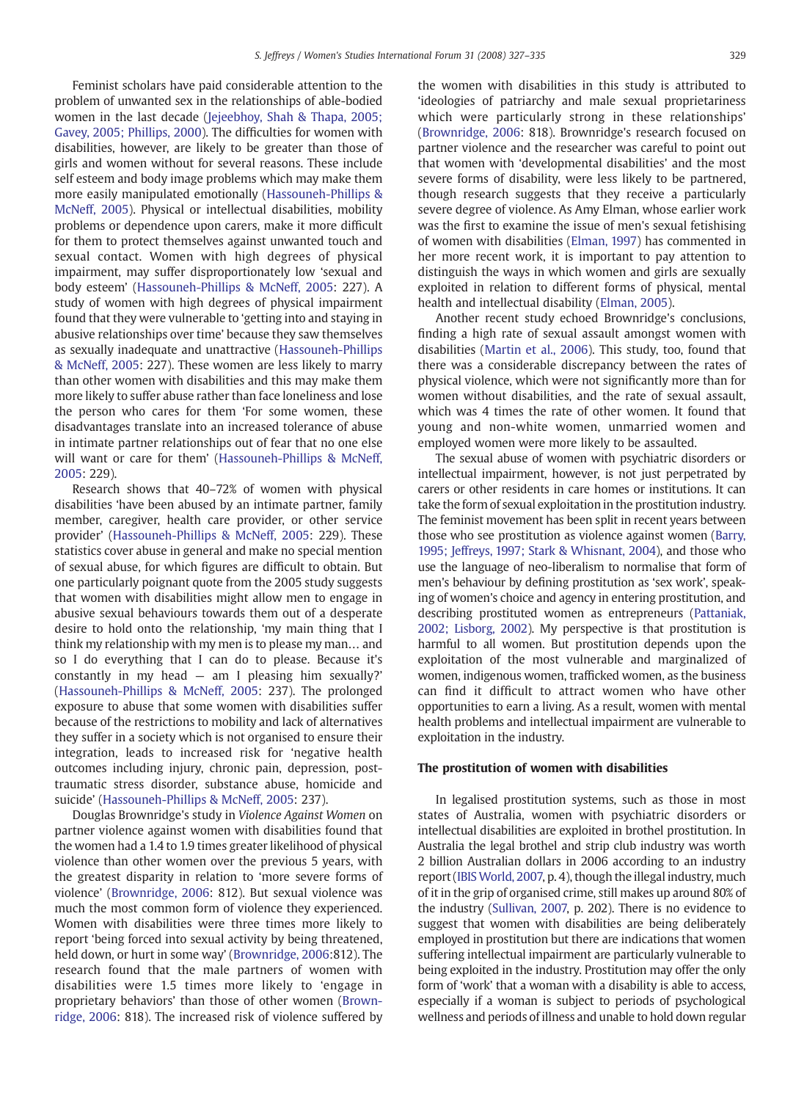Feminist scholars have paid considerable attention to the problem of unwanted sex in the relationships of able-bodied women in the last decade [\(Jejeebhoy, Shah & Thapa, 2005;](#page-8-0) [Gavey, 2005; Phillips, 2000\)](#page-8-0). The difficulties for women with disabilities, however, are likely to be greater than those of girls and women without for several reasons. These include self esteem and body image problems which may make them more easily manipulated emotionally ([Hassouneh-Phillips &](#page-7-0) [McNeff, 2005\)](#page-7-0). Physical or intellectual disabilities, mobility problems or dependence upon carers, make it more difficult for them to protect themselves against unwanted touch and sexual contact. Women with high degrees of physical impairment, may suffer disproportionately low 'sexual and body esteem' ([Hassouneh-Phillips & McNeff, 2005:](#page-7-0) 227). A study of women with high degrees of physical impairment found that they were vulnerable to 'getting into and staying in abusive relationships over time' because they saw themselves as sexually inadequate and unattractive [\(Hassouneh-Phillips](#page-7-0) [& McNeff, 2005:](#page-7-0) 227). These women are less likely to marry than other women with disabilities and this may make them more likely to suffer abuse rather than face loneliness and lose the person who cares for them 'For some women, these disadvantages translate into an increased tolerance of abuse in intimate partner relationships out of fear that no one else will want or care for them' ([Hassouneh-Phillips & McNeff,](#page-7-0) [2005](#page-7-0): 229).

Research shows that 40–72% of women with physical disabilities 'have been abused by an intimate partner, family member, caregiver, health care provider, or other service provider' [\(Hassouneh-Phillips & McNeff, 2005:](#page-7-0) 229). These statistics cover abuse in general and make no special mention of sexual abuse, for which figures are difficult to obtain. But one particularly poignant quote from the 2005 study suggests that women with disabilities might allow men to engage in abusive sexual behaviours towards them out of a desperate desire to hold onto the relationship, 'my main thing that I think my relationship with my men is to please my man… and so I do everything that I can do to please. Because it's constantly in my head  $-$  am I pleasing him sexually?' ([Hassouneh-Phillips & McNeff, 2005](#page-7-0): 237). The prolonged exposure to abuse that some women with disabilities suffer because of the restrictions to mobility and lack of alternatives they suffer in a society which is not organised to ensure their integration, leads to increased risk for 'negative health outcomes including injury, chronic pain, depression, posttraumatic stress disorder, substance abuse, homicide and suicide' [\(Hassouneh-Phillips & McNeff, 2005](#page-7-0): 237).

Douglas Brownridge's study in Violence Against Women on partner violence against women with disabilities found that the women had a 1.4 to 1.9 times greater likelihood of physical violence than other women over the previous 5 years, with the greatest disparity in relation to 'more severe forms of violence' [\(Brownridge, 2006](#page-7-0): 812). But sexual violence was much the most common form of violence they experienced. Women with disabilities were three times more likely to report 'being forced into sexual activity by being threatened, held down, or hurt in some way' [\(Brownridge, 2006](#page-7-0):812). The research found that the male partners of women with disabilities were 1.5 times more likely to 'engage in proprietary behaviors' than those of other women ([Brown](#page-7-0)[ridge, 2006:](#page-7-0) 818). The increased risk of violence suffered by

the women with disabilities in this study is attributed to 'ideologies of patriarchy and male sexual proprietariness which were particularly strong in these relationships' ([Brownridge, 2006:](#page-7-0) 818). Brownridge's research focused on partner violence and the researcher was careful to point out that women with 'developmental disabilities' and the most severe forms of disability, were less likely to be partnered, though research suggests that they receive a particularly severe degree of violence. As Amy Elman, whose earlier work was the first to examine the issue of men's sexual fetishising of women with disabilities [\(Elman, 1997\)](#page-7-0) has commented in her more recent work, it is important to pay attention to distinguish the ways in which women and girls are sexually exploited in relation to different forms of physical, mental health and intellectual disability ([Elman, 2005](#page-7-0)).

Another recent study echoed Brownridge's conclusions, finding a high rate of sexual assault amongst women with disabilities ([Martin et al., 2006\)](#page-8-0). This study, too, found that there was a considerable discrepancy between the rates of physical violence, which were not significantly more than for women without disabilities, and the rate of sexual assault, which was 4 times the rate of other women. It found that young and non-white women, unmarried women and employed women were more likely to be assaulted.

The sexual abuse of women with psychiatric disorders or intellectual impairment, however, is not just perpetrated by carers or other residents in care homes or institutions. It can take the form of sexual exploitation in the prostitution industry. The feminist movement has been split in recent years between those who see prostitution as violence against women ([Barry,](#page-7-0) [1995; Jeffreys, 1997; Stark & Whisnant, 2004](#page-7-0)), and those who use the language of neo-liberalism to normalise that form of men's behaviour by defining prostitution as 'sex work', speaking of women's choice and agency in entering prostitution, and describing prostituted women as entrepreneurs [\(Pattaniak,](#page-8-0) [2002; Lisborg, 2002\)](#page-8-0). My perspective is that prostitution is harmful to all women. But prostitution depends upon the exploitation of the most vulnerable and marginalized of women, indigenous women, trafficked women, as the business can find it difficult to attract women who have other opportunities to earn a living. As a result, women with mental health problems and intellectual impairment are vulnerable to exploitation in the industry.

#### The prostitution of women with disabilities

In legalised prostitution systems, such as those in most states of Australia, women with psychiatric disorders or intellectual disabilities are exploited in brothel prostitution. In Australia the legal brothel and strip club industry was worth 2 billion Australian dollars in 2006 according to an industry report [\(IBIS World, 2007,](#page-7-0) p. 4), though the illegal industry, much of it in the grip of organised crime, still makes up around 80% of the industry [\(Sullivan, 2007,](#page-8-0) p. 202). There is no evidence to suggest that women with disabilities are being deliberately employed in prostitution but there are indications that women suffering intellectual impairment are particularly vulnerable to being exploited in the industry. Prostitution may offer the only form of 'work' that a woman with a disability is able to access, especially if a woman is subject to periods of psychological wellness and periods of illness and unable to hold down regular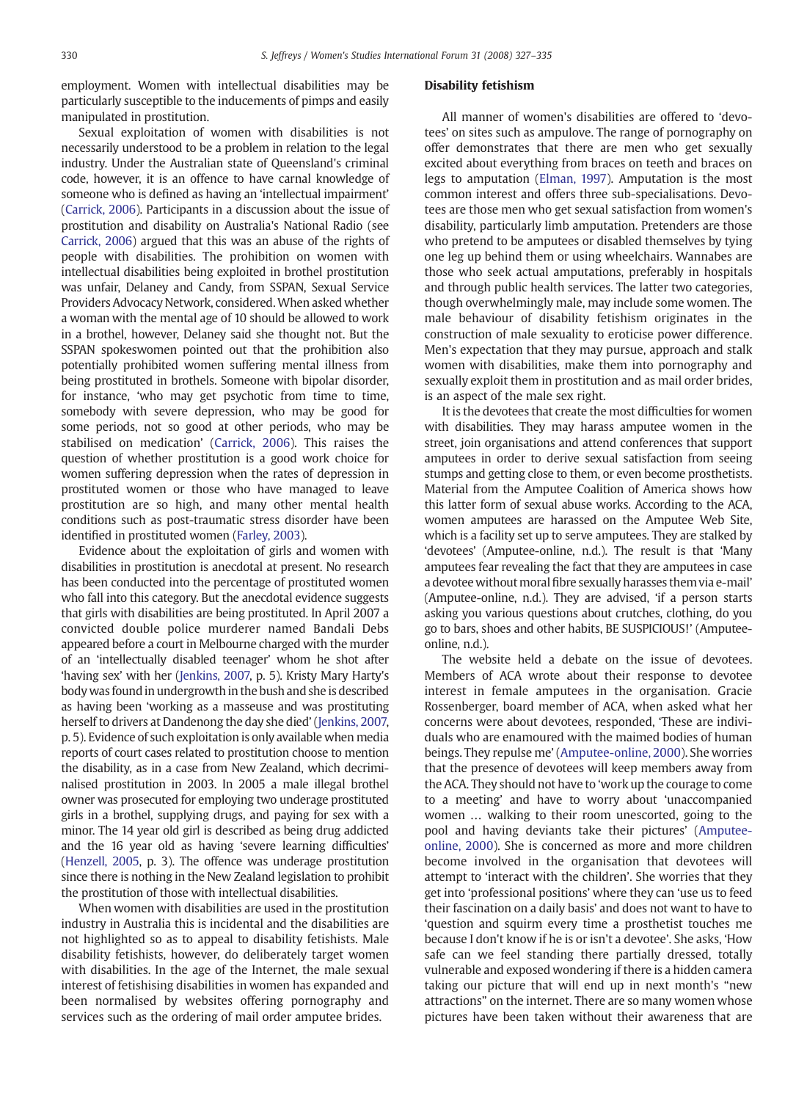employment. Women with intellectual disabilities may be particularly susceptible to the inducements of pimps and easily manipulated in prostitution.

Sexual exploitation of women with disabilities is not necessarily understood to be a problem in relation to the legal industry. Under the Australian state of Queensland's criminal code, however, it is an offence to have carnal knowledge of someone who is defined as having an 'intellectual impairment' [\(Carrick, 2006\)](#page-7-0). Participants in a discussion about the issue of prostitution and disability on Australia's National Radio (see [Carrick, 2006](#page-7-0)) argued that this was an abuse of the rights of people with disabilities. The prohibition on women with intellectual disabilities being exploited in brothel prostitution was unfair, Delaney and Candy, from SSPAN, Sexual Service Providers Advocacy Network, considered.When asked whether a woman with the mental age of 10 should be allowed to work in a brothel, however, Delaney said she thought not. But the SSPAN spokeswomen pointed out that the prohibition also potentially prohibited women suffering mental illness from being prostituted in brothels. Someone with bipolar disorder, for instance, 'who may get psychotic from time to time, somebody with severe depression, who may be good for some periods, not so good at other periods, who may be stabilised on medication' ([Carrick, 2006\)](#page-7-0). This raises the question of whether prostitution is a good work choice for women suffering depression when the rates of depression in prostituted women or those who have managed to leave prostitution are so high, and many other mental health conditions such as post-traumatic stress disorder have been identified in prostituted women ([Farley, 2003\)](#page-7-0).

Evidence about the exploitation of girls and women with disabilities in prostitution is anecdotal at present. No research has been conducted into the percentage of prostituted women who fall into this category. But the anecdotal evidence suggests that girls with disabilities are being prostituted. In April 2007 a convicted double police murderer named Bandali Debs appeared before a court in Melbourne charged with the murder of an 'intellectually disabled teenager' whom he shot after 'having sex' with her [\(Jenkins, 2007,](#page-8-0) p. 5). Kristy Mary Harty's body was found in undergrowth in the bush and she is described as having been 'working as a masseuse and was prostituting herself to drivers at Dandenong the day she died' ([Jenkins, 2007,](#page-8-0) p. 5). Evidence of such exploitation is only available when media reports of court cases related to prostitution choose to mention the disability, as in a case from New Zealand, which decriminalised prostitution in 2003. In 2005 a male illegal brothel owner was prosecuted for employing two underage prostituted girls in a brothel, supplying drugs, and paying for sex with a minor. The 14 year old girl is described as being drug addicted and the 16 year old as having 'severe learning difficulties' [\(Henzell, 2005,](#page-7-0) p. 3). The offence was underage prostitution since there is nothing in the New Zealand legislation to prohibit the prostitution of those with intellectual disabilities.

When women with disabilities are used in the prostitution industry in Australia this is incidental and the disabilities are not highlighted so as to appeal to disability fetishists. Male disability fetishists, however, do deliberately target women with disabilities. In the age of the Internet, the male sexual interest of fetishising disabilities in women has expanded and been normalised by websites offering pornography and services such as the ordering of mail order amputee brides.

#### Disability fetishism

All manner of women's disabilities are offered to 'devotees' on sites such as ampulove. The range of pornography on offer demonstrates that there are men who get sexually excited about everything from braces on teeth and braces on legs to amputation ([Elman, 1997](#page-7-0)). Amputation is the most common interest and offers three sub-specialisations. Devotees are those men who get sexual satisfaction from women's disability, particularly limb amputation. Pretenders are those who pretend to be amputees or disabled themselves by tying one leg up behind them or using wheelchairs. Wannabes are those who seek actual amputations, preferably in hospitals and through public health services. The latter two categories, though overwhelmingly male, may include some women. The male behaviour of disability fetishism originates in the construction of male sexuality to eroticise power difference. Men's expectation that they may pursue, approach and stalk women with disabilities, make them into pornography and sexually exploit them in prostitution and as mail order brides, is an aspect of the male sex right.

It is the devotees that create the most difficulties for women with disabilities. They may harass amputee women in the street, join organisations and attend conferences that support amputees in order to derive sexual satisfaction from seeing stumps and getting close to them, or even become prosthetists. Material from the Amputee Coalition of America shows how this latter form of sexual abuse works. According to the ACA, women amputees are harassed on the Amputee Web Site, which is a facility set up to serve amputees. They are stalked by 'devotees' (Amputee-online, n.d.). The result is that 'Many amputees fear revealing the fact that they are amputees in case a devotee without moral fibre sexually harasses them via e-mail' (Amputee-online, n.d.). They are advised, 'if a person starts asking you various questions about crutches, clothing, do you go to bars, shoes and other habits, BE SUSPICIOUS!' (Amputeeonline, n.d.).

The website held a debate on the issue of devotees. Members of ACA wrote about their response to devotee interest in female amputees in the organisation. Gracie Rossenberger, board member of ACA, when asked what her concerns were about devotees, responded, 'These are individuals who are enamoured with the maimed bodies of human beings. They repulse me' [\(Amputee-online, 2000](#page-7-0)). She worries that the presence of devotees will keep members away from the ACA. They should not have to 'work up the courage to come to a meeting' and have to worry about 'unaccompanied women … walking to their room unescorted, going to the pool and having deviants take their pictures' [\(Amputee](#page-7-0)[online, 2000\)](#page-7-0). She is concerned as more and more children become involved in the organisation that devotees will attempt to 'interact with the children'. She worries that they get into 'professional positions' where they can 'use us to feed their fascination on a daily basis' and does not want to have to 'question and squirm every time a prosthetist touches me because I don't know if he is or isn't a devotee'. She asks, 'How safe can we feel standing there partially dressed, totally vulnerable and exposed wondering if there is a hidden camera taking our picture that will end up in next month's "new attractions" on the internet. There are so many women whose pictures have been taken without their awareness that are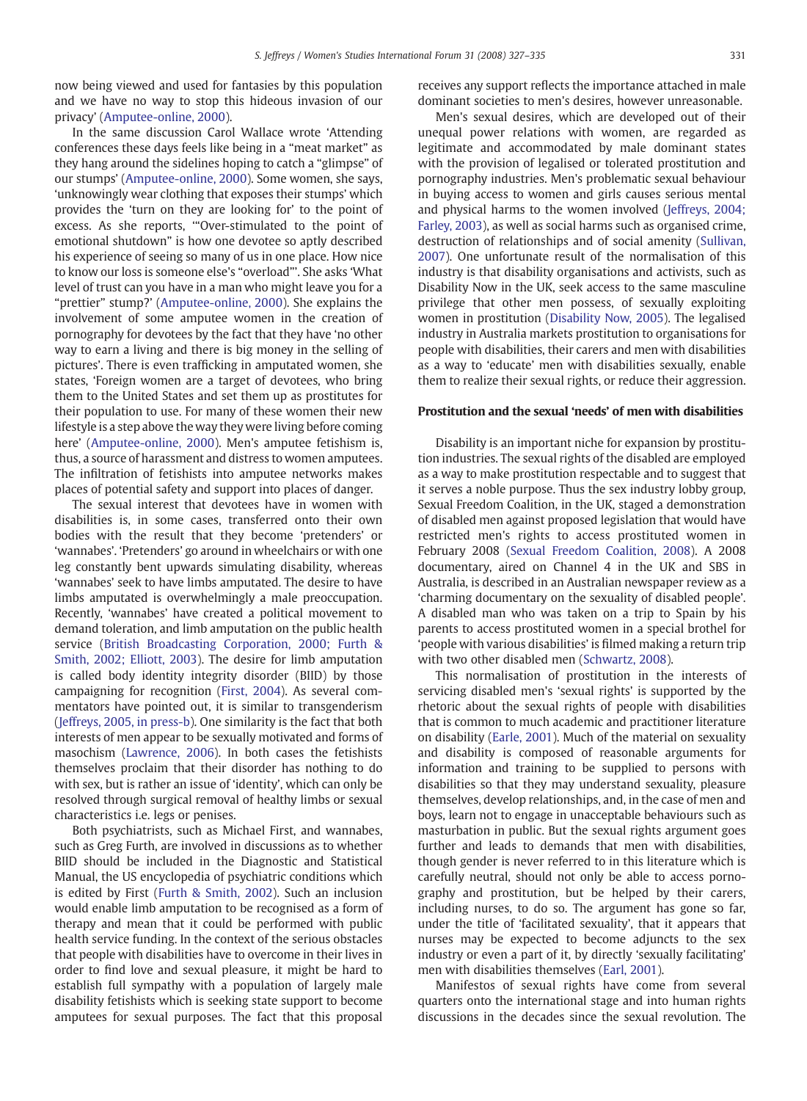now being viewed and used for fantasies by this population and we have no way to stop this hideous invasion of our privacy' [\(Amputee-online, 2000\)](#page-7-0).

In the same discussion Carol Wallace wrote 'Attending conferences these days feels like being in a "meat market" as they hang around the sidelines hoping to catch a "glimpse" of our stumps' ([Amputee-online, 2000](#page-7-0)). Some women, she says, 'unknowingly wear clothing that exposes their stumps' which provides the 'turn on they are looking for' to the point of excess. As she reports, '"Over-stimulated to the point of emotional shutdown" is how one devotee so aptly described his experience of seeing so many of us in one place. How nice to know our loss is someone else's "overload"'. She asks 'What level of trust can you have in a man who might leave you for a "prettier" stump?' [\(Amputee-online, 2000\)](#page-7-0). She explains the involvement of some amputee women in the creation of pornography for devotees by the fact that they have 'no other way to earn a living and there is big money in the selling of pictures'. There is even trafficking in amputated women, she states, 'Foreign women are a target of devotees, who bring them to the United States and set them up as prostitutes for their population to use. For many of these women their new lifestyle is a step above the way they were living before coming here' [\(Amputee-online, 2000\)](#page-7-0). Men's amputee fetishism is, thus, a source of harassment and distress to women amputees. The infiltration of fetishists into amputee networks makes places of potential safety and support into places of danger.

The sexual interest that devotees have in women with disabilities is, in some cases, transferred onto their own bodies with the result that they become 'pretenders' or 'wannabes'. 'Pretenders' go around in wheelchairs or with one leg constantly bent upwards simulating disability, whereas 'wannabes' seek to have limbs amputated. The desire to have limbs amputated is overwhelmingly a male preoccupation. Recently, 'wannabes' have created a political movement to demand toleration, and limb amputation on the public health service [\(British Broadcasting Corporation, 2000; Furth &](#page-7-0) [Smith, 2002; Elliott, 2003\)](#page-7-0). The desire for limb amputation is called body identity integrity disorder (BIID) by those campaigning for recognition [\(First, 2004](#page-7-0)). As several commentators have pointed out, it is similar to transgenderism ([Jeffreys, 2005, in press-b](#page-8-0)). One similarity is the fact that both interests of men appear to be sexually motivated and forms of masochism [\(Lawrence, 2006](#page-8-0)). In both cases the fetishists themselves proclaim that their disorder has nothing to do with sex, but is rather an issue of 'identity', which can only be resolved through surgical removal of healthy limbs or sexual characteristics i.e. legs or penises.

Both psychiatrists, such as Michael First, and wannabes, such as Greg Furth, are involved in discussions as to whether BIID should be included in the Diagnostic and Statistical Manual, the US encyclopedia of psychiatric conditions which is edited by First ([Furth & Smith, 2002\)](#page-7-0). Such an inclusion would enable limb amputation to be recognised as a form of therapy and mean that it could be performed with public health service funding. In the context of the serious obstacles that people with disabilities have to overcome in their lives in order to find love and sexual pleasure, it might be hard to establish full sympathy with a population of largely male disability fetishists which is seeking state support to become amputees for sexual purposes. The fact that this proposal receives any support reflects the importance attached in male dominant societies to men's desires, however unreasonable.

Men's sexual desires, which are developed out of their unequal power relations with women, are regarded as legitimate and accommodated by male dominant states with the provision of legalised or tolerated prostitution and pornography industries. Men's problematic sexual behaviour in buying access to women and girls causes serious mental and physical harms to the women involved [\(Jeffreys, 2004;](#page-8-0) [Farley, 2003](#page-8-0)), as well as social harms such as organised crime, destruction of relationships and of social amenity ([Sullivan,](#page-8-0) [2007](#page-8-0)). One unfortunate result of the normalisation of this industry is that disability organisations and activists, such as Disability Now in the UK, seek access to the same masculine privilege that other men possess, of sexually exploiting women in prostitution ([Disability Now, 2005\)](#page-7-0). The legalised industry in Australia markets prostitution to organisations for people with disabilities, their carers and men with disabilities as a way to 'educate' men with disabilities sexually, enable them to realize their sexual rights, or reduce their aggression.

#### Prostitution and the sexual 'needs' of men with disabilities

Disability is an important niche for expansion by prostitution industries. The sexual rights of the disabled are employed as a way to make prostitution respectable and to suggest that it serves a noble purpose. Thus the sex industry lobby group, Sexual Freedom Coalition, in the UK, staged a demonstration of disabled men against proposed legislation that would have restricted men's rights to access prostituted women in February 2008 [\(Sexual Freedom Coalition, 2008\)](#page-8-0). A 2008 documentary, aired on Channel 4 in the UK and SBS in Australia, is described in an Australian newspaper review as a 'charming documentary on the sexuality of disabled people'. A disabled man who was taken on a trip to Spain by his parents to access prostituted women in a special brothel for 'people with various disabilities' is filmed making a return trip with two other disabled men ([Schwartz, 2008\)](#page-8-0).

This normalisation of prostitution in the interests of servicing disabled men's 'sexual rights' is supported by the rhetoric about the sexual rights of people with disabilities that is common to much academic and practitioner literature on disability [\(Earle, 2001\)](#page-7-0). Much of the material on sexuality and disability is composed of reasonable arguments for information and training to be supplied to persons with disabilities so that they may understand sexuality, pleasure themselves, develop relationships, and, in the case of men and boys, learn not to engage in unacceptable behaviours such as masturbation in public. But the sexual rights argument goes further and leads to demands that men with disabilities, though gender is never referred to in this literature which is carefully neutral, should not only be able to access pornography and prostitution, but be helped by their carers, including nurses, to do so. The argument has gone so far, under the title of 'facilitated sexuality', that it appears that nurses may be expected to become adjuncts to the sex industry or even a part of it, by directly 'sexually facilitating' men with disabilities themselves ([Earl, 2001](#page-7-0)).

Manifestos of sexual rights have come from several quarters onto the international stage and into human rights discussions in the decades since the sexual revolution. The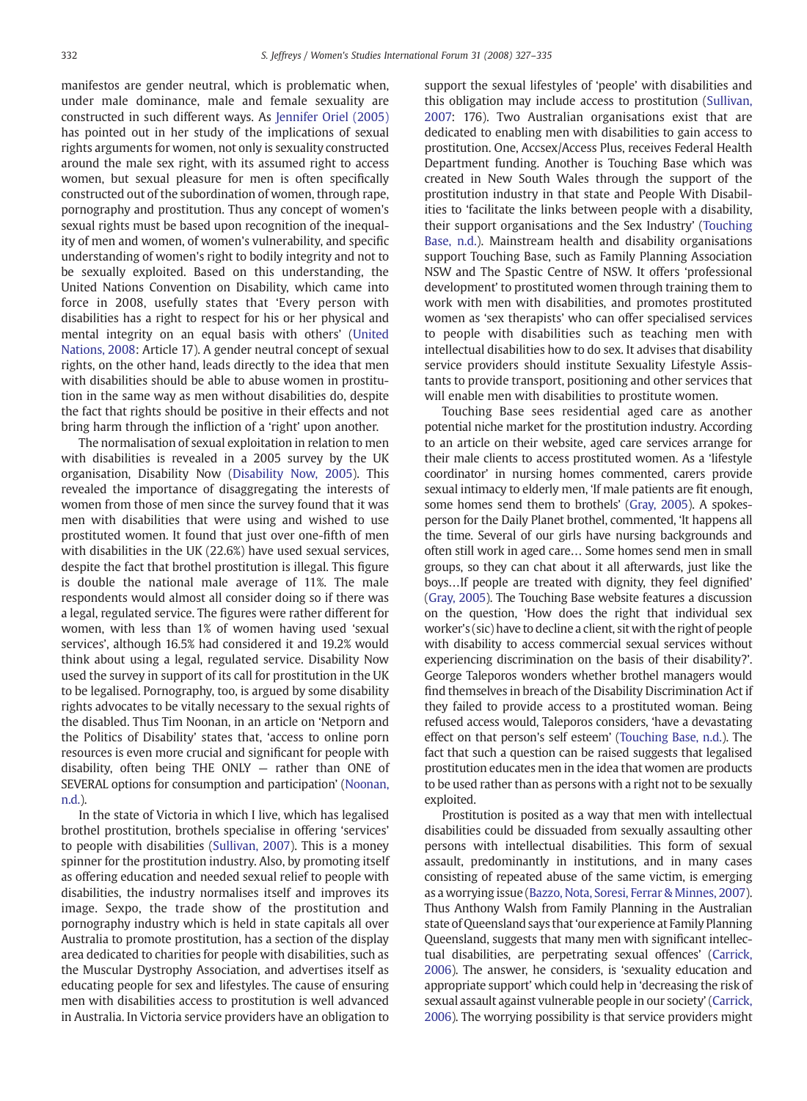manifestos are gender neutral, which is problematic when, under male dominance, male and female sexuality are constructed in such different ways. As [Jennifer Oriel \(2005\)](#page-8-0) has pointed out in her study of the implications of sexual rights arguments for women, not only is sexuality constructed around the male sex right, with its assumed right to access women, but sexual pleasure for men is often specifically constructed out of the subordination of women, through rape, pornography and prostitution. Thus any concept of women's sexual rights must be based upon recognition of the inequality of men and women, of women's vulnerability, and specific understanding of women's right to bodily integrity and not to be sexually exploited. Based on this understanding, the United Nations Convention on Disability, which came into force in 2008, usefully states that 'Every person with disabilities has a right to respect for his or her physical and mental integrity on an equal basis with others' [\(United](#page-8-0) [Nations, 2008](#page-8-0): Article 17). A gender neutral concept of sexual rights, on the other hand, leads directly to the idea that men with disabilities should be able to abuse women in prostitution in the same way as men without disabilities do, despite the fact that rights should be positive in their effects and not bring harm through the infliction of a 'right' upon another.

The normalisation of sexual exploitation in relation to men with disabilities is revealed in a 2005 survey by the UK organisation, Disability Now ([Disability Now, 2005\)](#page-7-0). This revealed the importance of disaggregating the interests of women from those of men since the survey found that it was men with disabilities that were using and wished to use prostituted women. It found that just over one-fifth of men with disabilities in the UK (22.6%) have used sexual services, despite the fact that brothel prostitution is illegal. This figure is double the national male average of 11%. The male respondents would almost all consider doing so if there was a legal, regulated service. The figures were rather different for women, with less than 1% of women having used 'sexual services', although 16.5% had considered it and 19.2% would think about using a legal, regulated service. Disability Now used the survey in support of its call for prostitution in the UK to be legalised. Pornography, too, is argued by some disability rights advocates to be vitally necessary to the sexual rights of the disabled. Thus Tim Noonan, in an article on 'Netporn and the Politics of Disability' states that, 'access to online porn resources is even more crucial and significant for people with disability, often being THE ONLY — rather than ONE of SEVERAL options for consumption and participation' ([Noonan,](#page-8-0) [n.d.](#page-8-0)).

In the state of Victoria in which I live, which has legalised brothel prostitution, brothels specialise in offering 'services' to people with disabilities ([Sullivan, 2007\)](#page-8-0). This is a money spinner for the prostitution industry. Also, by promoting itself as offering education and needed sexual relief to people with disabilities, the industry normalises itself and improves its image. Sexpo, the trade show of the prostitution and pornography industry which is held in state capitals all over Australia to promote prostitution, has a section of the display area dedicated to charities for people with disabilities, such as the Muscular Dystrophy Association, and advertises itself as educating people for sex and lifestyles. The cause of ensuring men with disabilities access to prostitution is well advanced in Australia. In Victoria service providers have an obligation to

support the sexual lifestyles of 'people' with disabilities and this obligation may include access to prostitution ([Sullivan,](#page-8-0) [2007:](#page-8-0) 176). Two Australian organisations exist that are dedicated to enabling men with disabilities to gain access to prostitution. One, Accsex/Access Plus, receives Federal Health Department funding. Another is Touching Base which was created in New South Wales through the support of the prostitution industry in that state and People With Disabilities to 'facilitate the links between people with a disability, their support organisations and the Sex Industry' [\(Touching](#page-8-0) [Base, n.d.\)](#page-8-0). Mainstream health and disability organisations support Touching Base, such as Family Planning Association NSW and The Spastic Centre of NSW. It offers 'professional development' to prostituted women through training them to work with men with disabilities, and promotes prostituted women as 'sex therapists' who can offer specialised services to people with disabilities such as teaching men with intellectual disabilities how to do sex. It advises that disability service providers should institute Sexuality Lifestyle Assistants to provide transport, positioning and other services that will enable men with disabilities to prostitute women.

Touching Base sees residential aged care as another potential niche market for the prostitution industry. According to an article on their website, aged care services arrange for their male clients to access prostituted women. As a 'lifestyle coordinator' in nursing homes commented, carers provide sexual intimacy to elderly men, 'If male patients are fit enough, some homes send them to brothels' ([Gray, 2005\)](#page-7-0). A spokesperson for the Daily Planet brothel, commented, 'It happens all the time. Several of our girls have nursing backgrounds and often still work in aged care… Some homes send men in small groups, so they can chat about it all afterwards, just like the boys…If people are treated with dignity, they feel dignified' [\(Gray, 2005\)](#page-7-0). The Touching Base website features a discussion on the question, 'How does the right that individual sex worker's (sic) have to decline a client, sit with the right of people with disability to access commercial sexual services without experiencing discrimination on the basis of their disability?'. George Taleporos wonders whether brothel managers would find themselves in breach of the Disability Discrimination Act if they failed to provide access to a prostituted woman. Being refused access would, Taleporos considers, 'have a devastating effect on that person's self esteem' [\(Touching Base, n.d.\)](#page-8-0). The fact that such a question can be raised suggests that legalised prostitution educates men in the idea that women are products to be used rather than as persons with a right not to be sexually exploited.

Prostitution is posited as a way that men with intellectual disabilities could be dissuaded from sexually assaulting other persons with intellectual disabilities. This form of sexual assault, predominantly in institutions, and in many cases consisting of repeated abuse of the same victim, is emerging as a worrying issue [\(Bazzo, Nota, Soresi, Ferrar & Minnes, 2007\)](#page-7-0). Thus Anthony Walsh from Family Planning in the Australian state of Queensland says that'our experience at Family Planning Queensland, suggests that many men with significant intellectual disabilities, are perpetrating sexual offences' ([Carrick,](#page-7-0) [2006](#page-7-0)). The answer, he considers, is 'sexuality education and appropriate support' which could help in 'decreasing the risk of sexual assault against vulnerable people in our society' ([Carrick,](#page-7-0) [2006](#page-7-0)). The worrying possibility is that service providers might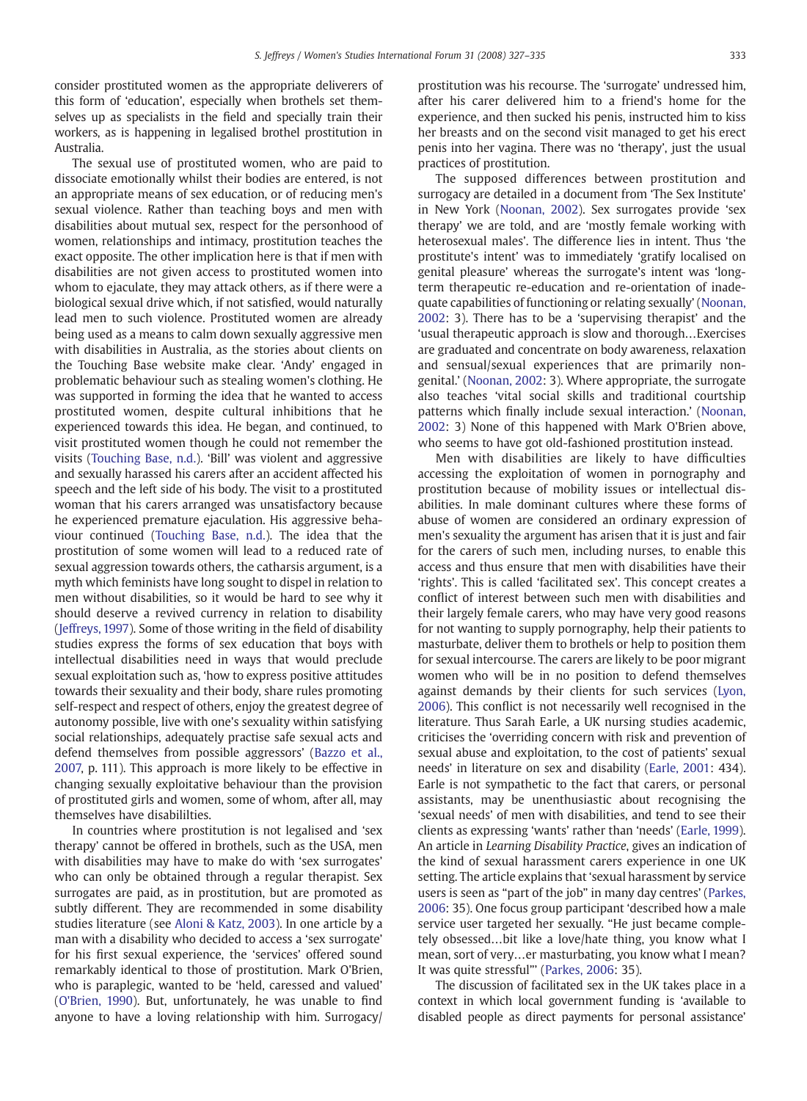consider prostituted women as the appropriate deliverers of this form of 'education', especially when brothels set themselves up as specialists in the field and specially train their workers, as is happening in legalised brothel prostitution in Australia.

The sexual use of prostituted women, who are paid to dissociate emotionally whilst their bodies are entered, is not an appropriate means of sex education, or of reducing men's sexual violence. Rather than teaching boys and men with disabilities about mutual sex, respect for the personhood of women, relationships and intimacy, prostitution teaches the exact opposite. The other implication here is that if men with disabilities are not given access to prostituted women into whom to ejaculate, they may attack others, as if there were a biological sexual drive which, if not satisfied, would naturally lead men to such violence. Prostituted women are already being used as a means to calm down sexually aggressive men with disabilities in Australia, as the stories about clients on the Touching Base website make clear. 'Andy' engaged in problematic behaviour such as stealing women's clothing. He was supported in forming the idea that he wanted to access prostituted women, despite cultural inhibitions that he experienced towards this idea. He began, and continued, to visit prostituted women though he could not remember the visits ([Touching Base, n.d.](#page-8-0)). 'Bill' was violent and aggressive and sexually harassed his carers after an accident affected his speech and the left side of his body. The visit to a prostituted woman that his carers arranged was unsatisfactory because he experienced premature ejaculation. His aggressive behaviour continued ([Touching Base, n.d.](#page-8-0)). The idea that the prostitution of some women will lead to a reduced rate of sexual aggression towards others, the catharsis argument, is a myth which feminists have long sought to dispel in relation to men without disabilities, so it would be hard to see why it should deserve a revived currency in relation to disability ([Jeffreys, 1997](#page-8-0)). Some of those writing in the field of disability studies express the forms of sex education that boys with intellectual disabilities need in ways that would preclude sexual exploitation such as, 'how to express positive attitudes towards their sexuality and their body, share rules promoting self-respect and respect of others, enjoy the greatest degree of autonomy possible, live with one's sexuality within satisfying social relationships, adequately practise safe sexual acts and defend themselves from possible aggressors' [\(Bazzo et al.,](#page-7-0) [2007,](#page-7-0) p. 111). This approach is more likely to be effective in changing sexually exploitative behaviour than the provision of prostituted girls and women, some of whom, after all, may themselves have disabililties.

In countries where prostitution is not legalised and 'sex therapy' cannot be offered in brothels, such as the USA, men with disabilities may have to make do with 'sex surrogates' who can only be obtained through a regular therapist. Sex surrogates are paid, as in prostitution, but are promoted as subtly different. They are recommended in some disability studies literature (see [Aloni & Katz, 2003\)](#page-7-0). In one article by a man with a disability who decided to access a 'sex surrogate' for his first sexual experience, the 'services' offered sound remarkably identical to those of prostitution. Mark O'Brien, who is paraplegic, wanted to be 'held, caressed and valued' ([O'Brien, 1990\)](#page-8-0). But, unfortunately, he was unable to find anyone to have a loving relationship with him. Surrogacy/

prostitution was his recourse. The 'surrogate' undressed him, after his carer delivered him to a friend's home for the experience, and then sucked his penis, instructed him to kiss her breasts and on the second visit managed to get his erect penis into her vagina. There was no 'therapy', just the usual practices of prostitution.

The supposed differences between prostitution and surrogacy are detailed in a document from 'The Sex Institute' in New York [\(Noonan, 2002](#page-8-0)). Sex surrogates provide 'sex therapy' we are told, and are 'mostly female working with heterosexual males'. The difference lies in intent. Thus 'the prostitute's intent' was to immediately 'gratify localised on genital pleasure' whereas the surrogate's intent was 'longterm therapeutic re-education and re-orientation of inadequate capabilities of functioning or relating sexually' [\(Noonan,](#page-8-0) [2002](#page-8-0): 3). There has to be a 'supervising therapist' and the 'usual therapeutic approach is slow and thorough…Exercises are graduated and concentrate on body awareness, relaxation and sensual/sexual experiences that are primarily nongenital.' [\(Noonan, 2002:](#page-8-0) 3). Where appropriate, the surrogate also teaches 'vital social skills and traditional courtship patterns which finally include sexual interaction.' ([Noonan,](#page-8-0) [2002](#page-8-0): 3) None of this happened with Mark O'Brien above, who seems to have got old-fashioned prostitution instead.

Men with disabilities are likely to have difficulties accessing the exploitation of women in pornography and prostitution because of mobility issues or intellectual disabilities. In male dominant cultures where these forms of abuse of women are considered an ordinary expression of men's sexuality the argument has arisen that it is just and fair for the carers of such men, including nurses, to enable this access and thus ensure that men with disabilities have their 'rights'. This is called 'facilitated sex'. This concept creates a conflict of interest between such men with disabilities and their largely female carers, who may have very good reasons for not wanting to supply pornography, help their patients to masturbate, deliver them to brothels or help to position them for sexual intercourse. The carers are likely to be poor migrant women who will be in no position to defend themselves against demands by their clients for such services [\(Lyon,](#page-8-0) [2006](#page-8-0)). This conflict is not necessarily well recognised in the literature. Thus Sarah Earle, a UK nursing studies academic, criticises the 'overriding concern with risk and prevention of sexual abuse and exploitation, to the cost of patients' sexual needs' in literature on sex and disability ([Earle, 2001:](#page-7-0) 434). Earle is not sympathetic to the fact that carers, or personal assistants, may be unenthusiastic about recognising the 'sexual needs' of men with disabilities, and tend to see their clients as expressing 'wants' rather than 'needs' [\(Earle, 1999](#page-7-0)). An article in Learning Disability Practice, gives an indication of the kind of sexual harassment carers experience in one UK setting. The article explains that 'sexual harassment by service users is seen as "part of the job" in many day centres' ([Parkes,](#page-8-0) [2006](#page-8-0): 35). One focus group participant 'described how a male service user targeted her sexually. "He just became completely obsessed…bit like a love/hate thing, you know what I mean, sort of very…er masturbating, you know what I mean? It was quite stressful"' ([Parkes, 2006](#page-8-0): 35).

The discussion of facilitated sex in the UK takes place in a context in which local government funding is 'available to disabled people as direct payments for personal assistance'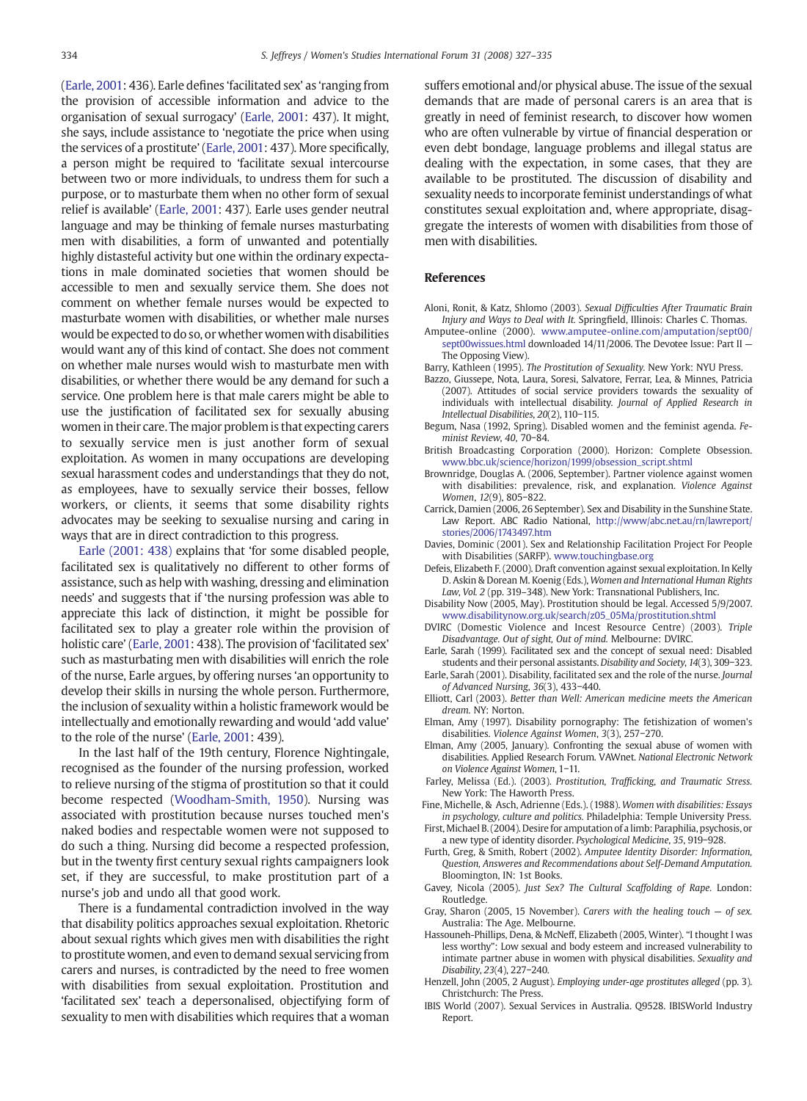<span id="page-7-0"></span>(Earle, 2001: 436). Earle defines 'facilitated sex' as 'ranging from the provision of accessible information and advice to the organisation of sexual surrogacy' (Earle, 2001: 437). It might, she says, include assistance to 'negotiate the price when using the services of a prostitute' (Earle, 2001: 437). More specifically, a person might be required to 'facilitate sexual intercourse between two or more individuals, to undress them for such a purpose, or to masturbate them when no other form of sexual relief is available' (Earle, 2001: 437). Earle uses gender neutral language and may be thinking of female nurses masturbating men with disabilities, a form of unwanted and potentially highly distasteful activity but one within the ordinary expectations in male dominated societies that women should be accessible to men and sexually service them. She does not comment on whether female nurses would be expected to masturbate women with disabilities, or whether male nurses would be expected to do so, or whether women with disabilities would want any of this kind of contact. She does not comment on whether male nurses would wish to masturbate men with disabilities, or whether there would be any demand for such a service. One problem here is that male carers might be able to use the justification of facilitated sex for sexually abusing women in their care. The major problem is that expecting carers to sexually service men is just another form of sexual exploitation. As women in many occupations are developing sexual harassment codes and understandings that they do not, as employees, have to sexually service their bosses, fellow workers, or clients, it seems that some disability rights advocates may be seeking to sexualise nursing and caring in ways that are in direct contradiction to this progress.

Earle (2001: 438) explains that 'for some disabled people, facilitated sex is qualitatively no different to other forms of assistance, such as help with washing, dressing and elimination needs' and suggests that if 'the nursing profession was able to appreciate this lack of distinction, it might be possible for facilitated sex to play a greater role within the provision of holistic care' (Earle, 2001: 438). The provision of 'facilitated sex' such as masturbating men with disabilities will enrich the role of the nurse, Earle argues, by offering nurses 'an opportunity to develop their skills in nursing the whole person. Furthermore, the inclusion of sexuality within a holistic framework would be intellectually and emotionally rewarding and would 'add value' to the role of the nurse' (Earle, 2001: 439).

In the last half of the 19th century, Florence Nightingale, recognised as the founder of the nursing profession, worked to relieve nursing of the stigma of prostitution so that it could become respected ([Woodham-Smith, 1950\)](#page-8-0). Nursing was associated with prostitution because nurses touched men's naked bodies and respectable women were not supposed to do such a thing. Nursing did become a respected profession, but in the twenty first century sexual rights campaigners look set, if they are successful, to make prostitution part of a nurse's job and undo all that good work.

There is a fundamental contradiction involved in the way that disability politics approaches sexual exploitation. Rhetoric about sexual rights which gives men with disabilities the right to prostitute women, and even to demand sexual servicing from carers and nurses, is contradicted by the need to free women with disabilities from sexual exploitation. Prostitution and 'facilitated sex' teach a depersonalised, objectifying form of sexuality to men with disabilities which requires that a woman suffers emotional and/or physical abuse. The issue of the sexual demands that are made of personal carers is an area that is greatly in need of feminist research, to discover how women who are often vulnerable by virtue of financial desperation or even debt bondage, language problems and illegal status are dealing with the expectation, in some cases, that they are available to be prostituted. The discussion of disability and sexuality needs to incorporate feminist understandings of what constitutes sexual exploitation and, where appropriate, disaggregate the interests of women with disabilities from those of men with disabilities.

#### References

- Aloni, Ronit, & Katz, Shlomo (2003). Sexual Difficulties After Traumatic Brain Injury and Ways to Deal with It. Springfield, Illinois: Charles C. Thomas.
- Amputee-online (2000). [www.amputee-online.com/amputation/sept00/](http://www.amputee-online.com/amputation/sept00/sept00wissues.html) [sept00wissues.html](http://www.amputee-online.com/amputation/sept00/sept00wissues.html) downloaded 14/11/2006. The Devotee Issue: Part II -The Opposing View).
- Barry, Kathleen (1995). The Prostitution of Sexuality. New York: NYU Press.
- Bazzo, Giussepe, Nota, Laura, Soresi, Salvatore, Ferrar, Lea, & Minnes, Patricia (2007). Attitudes of social service providers towards the sexuality of individuals with intellectual disability. Journal of Applied Research in Intellectual Disabilities, 20(2), 110−115.
- Begum, Nasa (1992, Spring). Disabled women and the feminist agenda. Feminist Review, 40, 70–84.
- British Broadcasting Corporation (2000). Horizon: Complete Obsession. [www.bbc.uk/science/horizon/1999/obsession\\_script.shtml](http://www.bbc.uk/science/horizon/1999/obsession_script.shtml)
- Brownridge, Douglas A. (2006, September). Partner violence against women with disabilities: prevalence, risk, and explanation. Violence Against Women, 12(9), 805−822.
- Carrick, Damien (2006, 26 September). Sex and Disability in the Sunshine State. Law Report. ABC Radio National, [http://www/abc.net.au/rn/lawreport/](http://www/abc.net.au/rn/lawreport/stories/2006/1743497.htm) [stories/2006/1743497.htm](http://www/abc.net.au/rn/lawreport/stories/2006/1743497.htm)
- Davies, Dominic (2001). Sex and Relationship Facilitation Project For People with Disabilities (SARFP). [www.touchingbase.org](http://www.touchingbase.org)
- Defeis, Elizabeth F. (2000). Draft convention against sexual exploitation. In Kelly D. Askin & Dorean M. Koenig (Eds.), Women and International Human Rights Law, Vol. 2 (pp. 319–348). New York: Transnational Publishers, Inc.
- Disability Now (2005, May). Prostitution should be legal. Accessed 5/9/2007. [www.disabilitynow.org.uk/search/z05\\_05Ma/prostitution.shtml](http://www.disabilitynow.org.uk/search/z05_05Ma/prostitution.shtml)
- DVIRC (Domestic Violence and Incest Resource Centre) (2003). Triple Disadvantage. Out of sight, Out of mind. Melbourne: DVIRC.
- Earle, Sarah (1999). Facilitated sex and the concept of sexual need: Disabled students and their personal assistants. Disability and Society, 14(3), 309-323.
- Earle, Sarah (2001). Disability, facilitated sex and the role of the nurse. Journal of Advanced Nursing, 36(3), 433−440.
- Elliott, Carl (2003). Better than Well: American medicine meets the American dream. NY: Norton.
- Elman, Amy (1997). Disability pornography: The fetishization of women's disabilities. Violence Against Women, 3(3), 257−270.
- Elman, Amy (2005, January). Confronting the sexual abuse of women with disabilities. Applied Research Forum. VAWnet. National Electronic Network on Violence Against Women, 1−11.
- Farley, Melissa (Ed.). (2003). Prostitution, Trafficking, and Traumatic Stress. New York: The Haworth Press.
- Fine, Michelle, & Asch, Adrienne (Eds.). (1988). Women with disabilities: Essays in psychology, culture and politics. Philadelphia: Temple University Press.
- First, Michael B. (2004). Desire for amputation of a limb: Paraphilia, psychosis, or a new type of identity disorder. Psychological Medicine, 35, 919−928.
- Furth, Greg, & Smith, Robert (2002). Amputee Identity Disorder: Information, Question, Answeres and Recommendations about Self-Demand Amputation. Bloomington, IN: 1st Books.
- Gavey, Nicola (2005). Just Sex? The Cultural Scaffolding of Rape. London: Routledge.
- Gray, Sharon (2005, 15 November). Carers with the healing touch  $-$  of sex. Australia: The Age. Melbourne.
- Hassouneh-Phillips, Dena, & McNeff, Elizabeth (2005, Winter). "I thought I was less worthy": Low sexual and body esteem and increased vulnerability to intimate partner abuse in women with physical disabilities. Sexuality and Disability, 23(4), 227−240.
- Henzell, John (2005, 2 August). Employing under-age prostitutes alleged (pp. 3). Christchurch: The Press.
- IBIS World (2007). Sexual Services in Australia. Q9528. IBISWorld Industry Report.